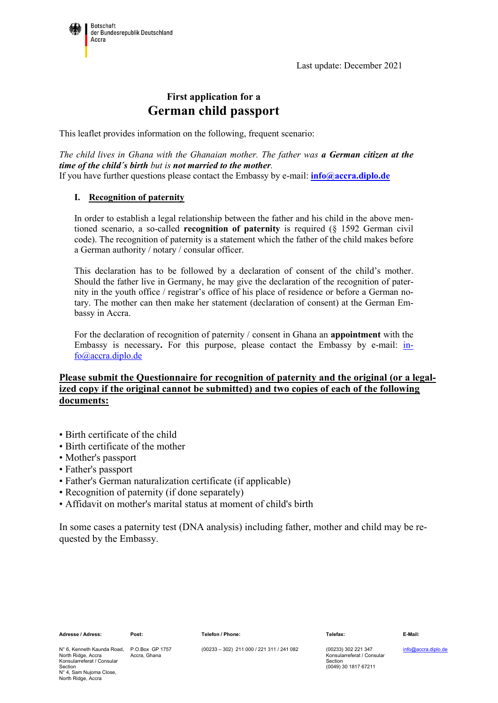Last update: December 2021



# **First application for a German child passport**

This leaflet provides information on the following, frequent scenario:

*The child lives in Ghana with the Ghanaian mother. The father was a German citizen at the time of the child´s birth but is not married to the mother.* If you have further questions please contact the Embassy by e-mail: **[info@accra.diplo.de](mailto:info@accra.diplo.de)**

### **I. Recognition of paternity**

In order to establish a legal relationship between the father and his child in the above mentioned scenario, a so-called **recognition of paternity** is required (§ 1592 German civil code). The recognition of paternity is a statement which the father of the child makes before a German authority / notary / consular officer.

This declaration has to be followed by a declaration of consent of the child's mother. Should the father live in Germany, he may give the declaration of the recognition of paternity in the youth office / registrar's office of his place of residence or before a German notary. The mother can then make her statement (declaration of consent) at the German Embassy in Accra.

For the declaration of recognition of paternity / consent in Ghana an **appointment** with the Embassy is necessary**.** For this purpose, please contact the Embassy by e-mail: [in](mailto:info@accra.diplo.de)[fo@accra.diplo.de](mailto:info@accra.diplo.de)

## **Please submit the Questionnaire for recognition of paternity and the original (or a legalized copy if the original cannot be submitted) and two copies of each of the following documents:**

- Birth certificate of the child
- Birth certificate of the mother
- Mother's passport
- Father's passport
- Father's German naturalization certificate (if applicable)
- Recognition of paternity (if done separately)
- Affidavit on mother's marital status at moment of child's birth

In some cases a paternity test (DNA analysis) including father, mother and child may be requested by the Embassy.

| Adresse / Adress: | Post: | Telefon / Phone: | elefax: | : Mail: |
|-------------------|-------|------------------|---------|---------|
|                   | .     |                  | .       |         |

N° 6, Kenneth Kaunda Road, P.O.Box GP 1757 North Ridge, Accra Konsularreferat / Consular **Section** N° 4, Sam Nujoma Close, North Ridge, Accra

Accra, Ghana

(00233 – 302) 211 000 / 221 311 / 241 082 (00233) 302 221 347

Konsularreferat / Consular Section (0049) 30 1817 67211

[info@accra.diplo.de](mailto:info@accra.diplo.de)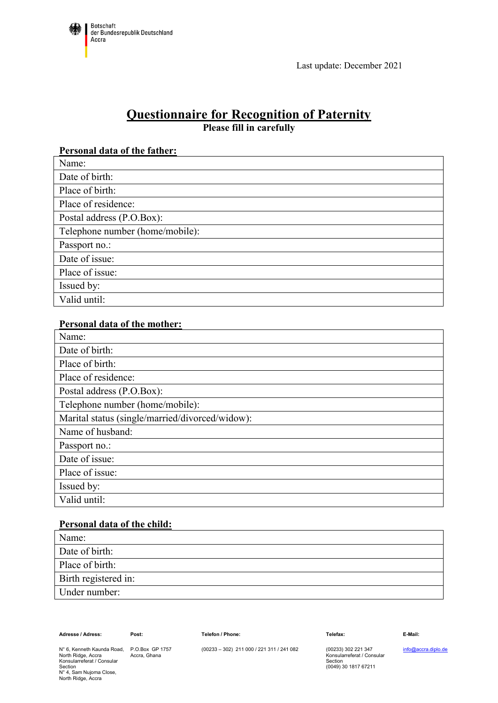

Last update: December 2021

# **Questionnaire for Recognition of Paternity Please fill in carefully**

| Personal data of the father:    |  |  |
|---------------------------------|--|--|
| Name:                           |  |  |
| Date of birth:                  |  |  |
| Place of birth:                 |  |  |
| Place of residence:             |  |  |
| Postal address (P.O.Box):       |  |  |
| Telephone number (home/mobile): |  |  |
| Passport no.:                   |  |  |
| Date of issue:                  |  |  |
| Place of issue:                 |  |  |
| Issued by:                      |  |  |
| Valid until:                    |  |  |
|                                 |  |  |

### **Personal data of the mother:**

| Name:                                           |  |  |
|-------------------------------------------------|--|--|
| Date of birth:                                  |  |  |
| Place of birth:                                 |  |  |
| Place of residence:                             |  |  |
| Postal address (P.O.Box):                       |  |  |
| Telephone number (home/mobile):                 |  |  |
| Marital status (single/married/divorced/widow): |  |  |
| Name of husband:                                |  |  |
| Passport no.:                                   |  |  |
| Date of issue:                                  |  |  |
| Place of issue:                                 |  |  |
| Issued by:                                      |  |  |
| Valid until:                                    |  |  |

### **Personal data of the child:**

| Name:                |
|----------------------|
| Date of birth:       |
| Place of birth:      |
| Birth registered in: |
| Under number:        |

### **Adresse / Adress: Post: Telefon / Phone: Telefax: E-Mail:**

North Ridge, Accra Konsularreferat / Consular Section<br>N° 4, Sam Nujoma Close, North Ridge, Accra

N° 6, Kenneth Kaunda Road, P.O.Box GP 1757 Accra, Ghana

(00233 – 302) 211 000 / 221 311 / 241 082 (00233) 302 221 347

Konsularreferat / Consular Section (0049) 30 1817 67211

[info@accra.diplo.de](mailto:info@accra.diplo.de)